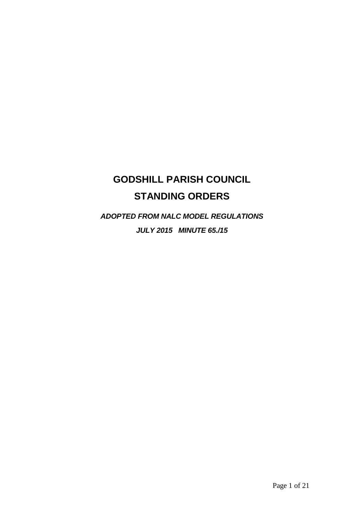#### **GODSHILL PARISH COUNCIL STANDING ORDERS**

*ADOPTED FROM NALC MODEL REGULATIONS JULY 2015 MINUTE 65./15*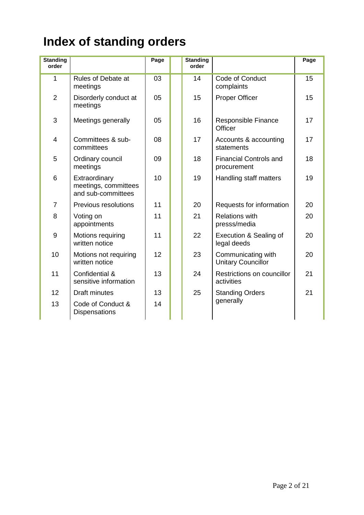# **Index of standing orders**

| <b>Standing</b><br>order |                                                             | Page | <b>Standing</b><br>order |                                                 | Page |
|--------------------------|-------------------------------------------------------------|------|--------------------------|-------------------------------------------------|------|
| 1                        | <b>Rules of Debate at</b><br>meetings                       | 03   | 14                       | Code of Conduct<br>complaints                   | 15   |
| $\overline{2}$           | Disorderly conduct at<br>meetings                           | 05   | 15                       | <b>Proper Officer</b>                           | 15   |
| 3                        | Meetings generally                                          | 05   | 16                       | Responsible Finance<br>Officer                  | 17   |
| $\overline{4}$           | Committees & sub-<br>committees                             | 08   | 17                       | Accounts & accounting<br>statements             | 17   |
| 5                        | Ordinary council<br>meetings                                | 09   | 18                       | <b>Financial Controls and</b><br>procurement    | 18   |
| 6                        | Extraordinary<br>meetings, committees<br>and sub-committees | 10   | 19                       | Handling staff matters                          | 19   |
| $\overline{7}$           | Previous resolutions                                        | 11   | 20                       | Requests for information                        | 20   |
| 8                        | Voting on<br>appointments                                   | 11   | 21                       | <b>Relations with</b><br>presss/media           | 20   |
| 9                        | Motions requiring<br>written notice                         | 11   | 22                       | Execution & Sealing of<br>legal deeds           | 20   |
| 10                       | Motions not requiring<br>written notice                     | 12   | 23                       | Communicating with<br><b>Unitary Councillor</b> | 20   |
| 11                       | Confidential &<br>sensitive information                     | 13   | 24                       | Restrictions on councillor<br>activities        | 21   |
| 12                       | Draft minutes                                               | 13   | 25                       | <b>Standing Orders</b>                          | 21   |
| 13                       | Code of Conduct &<br><b>Dispensations</b>                   | 14   |                          | generally                                       |      |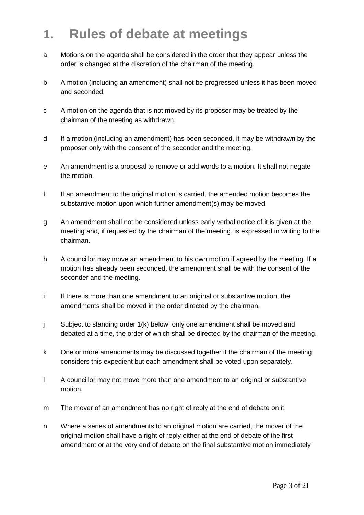## **1. Rules of debate at meetings**

- a Motions on the agenda shall be considered in the order that they appear unless the order is changed at the discretion of the chairman of the meeting.
- b A motion (including an amendment) shall not be progressed unless it has been moved and seconded.
- c A motion on the agenda that is not moved by its proposer may be treated by the chairman of the meeting as withdrawn.
- d If a motion (including an amendment) has been seconded, it may be withdrawn by the proposer only with the consent of the seconder and the meeting.
- e An amendment is a proposal to remove or add words to a motion. It shall not negate the motion.
- f If an amendment to the original motion is carried, the amended motion becomes the substantive motion upon which further amendment(s) may be moved.
- g An amendment shall not be considered unless early verbal notice of it is given at the meeting and, if requested by the chairman of the meeting, is expressed in writing to the chairman.
- h A councillor may move an amendment to his own motion if agreed by the meeting. If a motion has already been seconded, the amendment shall be with the consent of the seconder and the meeting.
- i If there is more than one amendment to an original or substantive motion, the amendments shall be moved in the order directed by the chairman.
- j Subject to standing order 1(k) below, only one amendment shall be moved and debated at a time, the order of which shall be directed by the chairman of the meeting.
- k One or more amendments may be discussed together if the chairman of the meeting considers this expedient but each amendment shall be voted upon separately.
- l A councillor may not move more than one amendment to an original or substantive motion.
- m The mover of an amendment has no right of reply at the end of debate on it.
- n Where a series of amendments to an original motion are carried, the mover of the original motion shall have a right of reply either at the end of debate of the first amendment or at the very end of debate on the final substantive motion immediately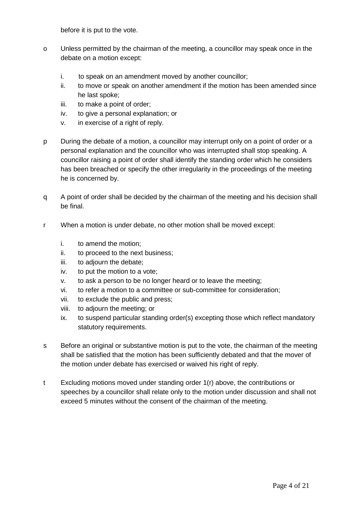before it is put to the vote.

- o Unless permitted by the chairman of the meeting, a councillor may speak once in the debate on a motion except:
	- i. to speak on an amendment moved by another councillor;
	- ii. to move or speak on another amendment if the motion has been amended since he last spoke;
	- iii. to make a point of order;
	- iv. to give a personal explanation; or
	- v. in exercise of a right of reply.
- p During the debate of a motion, a councillor may interrupt only on a point of order or a personal explanation and the councillor who was interrupted shall stop speaking. A councillor raising a point of order shall identify the standing order which he considers has been breached or specify the other irregularity in the proceedings of the meeting he is concerned by.
- q A point of order shall be decided by the chairman of the meeting and his decision shall be final.
- r When a motion is under debate, no other motion shall be moved except:
	- i. to amend the motion;
	- ii. to proceed to the next business;
	- iii. to adjourn the debate;
	- iv. to put the motion to a vote;
	- v. to ask a person to be no longer heard or to leave the meeting;
	- vi. to refer a motion to a committee or sub-committee for consideration;
	- vii. to exclude the public and press;
	- viii. to adjourn the meeting; or
	- ix. to suspend particular standing order(s) excepting those which reflect mandatory statutory requirements.
- s Before an original or substantive motion is put to the vote, the chairman of the meeting shall be satisfied that the motion has been sufficiently debated and that the mover of the motion under debate has exercised or waived his right of reply.
- t Excluding motions moved under standing order 1(r) above, the contributions or speeches by a councillor shall relate only to the motion under discussion and shall not exceed 5 minutes without the consent of the chairman of the meeting.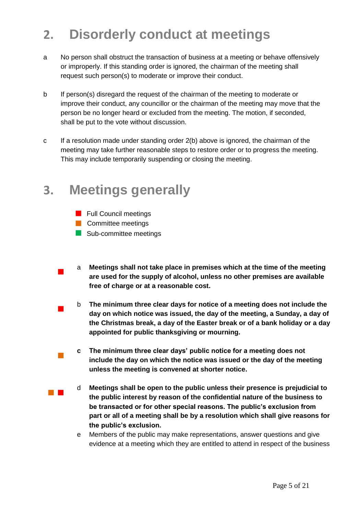## **2. Disorderly conduct at meetings**

- a No person shall obstruct the transaction of business at a meeting or behave offensively or improperly. If this standing order is ignored, the chairman of the meeting shall request such person(s) to moderate or improve their conduct.
- b If person(s) disregard the request of the chairman of the meeting to moderate or improve their conduct, any councillor or the chairman of the meeting may move that the person be no longer heard or excluded from the meeting. The motion, if seconded, shall be put to the vote without discussion.
- c If a resolution made under standing order 2(b) above is ignored, the chairman of the meeting may take further reasonable steps to restore order or to progress the meeting. This may include temporarily suspending or closing the meeting.

#### **3. Meetings generally**

- **Full Council meetings**
- **Committee meetings**

 $\mathcal{C}_{\mathcal{A}}$ 

- Sub-committee meetings
- $\overline{\phantom{a}}$ a **Meetings shall not take place in premises which at the time of the meeting are used for the supply of alcohol, unless no other premises are available free of charge or at a reasonable cost.**
- $\overline{\phantom{a}}$ b **The minimum three clear days for notice of a meeting does not include the day on which notice was issued, the day of the meeting, a Sunday, a day of the Christmas break, a day of the Easter break or of a bank holiday or a day appointed for public thanksgiving or mourning.**
	- **c The minimum three clear days' public notice for a meeting does not include the day on which the notice was issued or the day of the meeting unless the meeting is convened at shorter notice.**
- and the d **Meetings shall be open to the public unless their presence is prejudicial to the public interest by reason of the confidential nature of the business to be transacted or for other special reasons. The public's exclusion from part or all of a meeting shall be by a resolution which shall give reasons for the public's exclusion.**
	- e Members of the public may make representations, answer questions and give evidence at a meeting which they are entitled to attend in respect of the business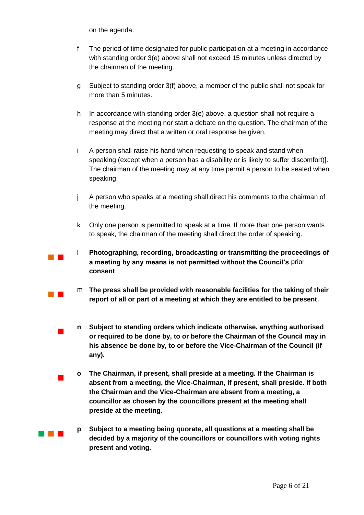on the agenda.

 $\mathcal{L}_{\mathcal{A}}$ 

 $\overline{\phantom{a}}$ 

 $\overline{\phantom{a}}$ 

- f The period of time designated for public participation at a meeting in accordance with standing order 3(e) above shall not exceed 15 minutes unless directed by the chairman of the meeting.
- g Subject to standing order 3(f) above, a member of the public shall not speak for more than 5 minutes.
- h In accordance with standing order 3(e) above, a question shall not require a response at the meeting nor start a debate on the question. The chairman of the meeting may direct that a written or oral response be given.
- i A person shall raise his hand when requesting to speak and stand when speaking (except when a person has a disability or is likely to suffer discomfort)]. The chairman of the meeting may at any time permit a person to be seated when speaking.
- j A person who speaks at a meeting shall direct his comments to the chairman of the meeting.
- k Only one person is permitted to speak at a time. If more than one person wants to speak, the chairman of the meeting shall direct the order of speaking.
- **The Contract State** l **Photographing, recording, broadcasting or transmitting the proceedings of a meeting by any means is not permitted without the Council's** prior **consent**.
	- m **The press shall be provided with reasonable facilities for the taking of their report of all or part of a meeting at which they are entitled to be present**.
	- **n Subject to standing orders which indicate otherwise, anything authorised or required to be done by, to or before the Chairman of the Council may in his absence be done by, to or before the Vice-Chairman of the Council (if any).**
		- **o The Chairman, if present, shall preside at a meeting. If the Chairman is absent from a meeting, the Vice-Chairman, if present, shall preside. If both the Chairman and the Vice-Chairman are absent from a meeting, a councillor as chosen by the councillors present at the meeting shall preside at the meeting.**
- an an Indonesia **p Subject to a meeting being quorate, all questions at a meeting shall be decided by a majority of the councillors or councillors with voting rights present and voting.**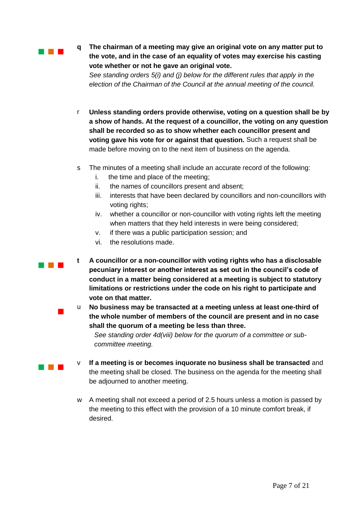and the control

a na k

 $\overline{\phantom{a}}$ 

**Contract Contract** 

**q The chairman of a meeting may give an original vote on any matter put to the vote, and in the case of an equality of votes may exercise his casting vote whether or not he gave an original vote.**

*See standing orders 5(i) and (j) below for the different rules that apply in the election of the Chairman of the Council at the annual meeting of the council.*

- r **Unless standing orders provide otherwise, voting on a question shall be by a show of hands. At the request of a councillor, the voting on any question shall be recorded so as to show whether each councillor present and voting gave his vote for or against that question.** Such a request shall be made before moving on to the next item of business on the agenda.
- s The minutes of a meeting shall include an accurate record of the following:
	- i. the time and place of the meeting;
	- ii. the names of councillors present and absent;
	- iii. interests that have been declared by councillors and non-councillors with voting rights;
	- iv. whether a councillor or non-councillor with voting rights left the meeting when matters that they held interests in were being considered;
	- v. if there was a public participation session; and
	- vi. the resolutions made.
- **t A councillor or a non-councillor with voting rights who has a disclosable pecuniary interest or another interest as set out in the council's code of conduct in a matter being considered at a meeting is subject to statutory limitations or restrictions under the code on his right to participate and vote on that matter.**
	- No business may be transacted at a meeting unless at least one-third of **the whole number of members of the council are present and in no case shall the quorum of a meeting be less than three.**

*See standing order 4d(viii) below for the quorum of a committee or subcommittee meeting.* 

- v **If a meeting is or becomes inquorate no business shall be transacted** and the meeting shall be closed. The business on the agenda for the meeting shall be adjourned to another meeting.
- w A meeting shall not exceed a period of 2.5 hours unless a motion is passed by the meeting to this effect with the provision of a 10 minute comfort break, if desired.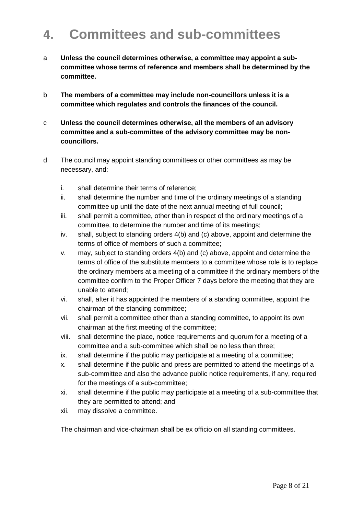## **4. Committees and sub-committees**

- a **Unless the council determines otherwise, a committee may appoint a subcommittee whose terms of reference and members shall be determined by the committee.**
- b **The members of a committee may include non-councillors unless it is a committee which regulates and controls the finances of the council.**
- c **Unless the council determines otherwise, all the members of an advisory committee and a sub-committee of the advisory committee may be noncouncillors.**
- d The council may appoint standing committees or other committees as may be necessary, and:
	- i. shall determine their terms of reference;
	- ii. shall determine the number and time of the ordinary meetings of a standing committee up until the date of the next annual meeting of full council;
	- iii. shall permit a committee, other than in respect of the ordinary meetings of a committee, to determine the number and time of its meetings;
	- iv. shall, subject to standing orders 4(b) and (c) above, appoint and determine the terms of office of members of such a committee;
	- v. may, subject to standing orders 4(b) and (c) above, appoint and determine the terms of office of the substitute members to a committee whose role is to replace the ordinary members at a meeting of a committee if the ordinary members of the committee confirm to the Proper Officer 7 days before the meeting that they are unable to attend;
	- vi. shall, after it has appointed the members of a standing committee, appoint the chairman of the standing committee;
	- vii. shall permit a committee other than a standing committee, to appoint its own chairman at the first meeting of the committee;
	- viii. shall determine the place, notice requirements and quorum for a meeting of a committee and a sub-committee which shall be no less than three;
	- ix. shall determine if the public may participate at a meeting of a committee;
	- x. shall determine if the public and press are permitted to attend the meetings of a sub-committee and also the advance public notice requirements, if any, required for the meetings of a sub-committee;
	- xi. shall determine if the public may participate at a meeting of a sub-committee that they are permitted to attend; and
	- xii. may dissolve a committee.

The chairman and vice-chairman shall be ex officio on all standing committees.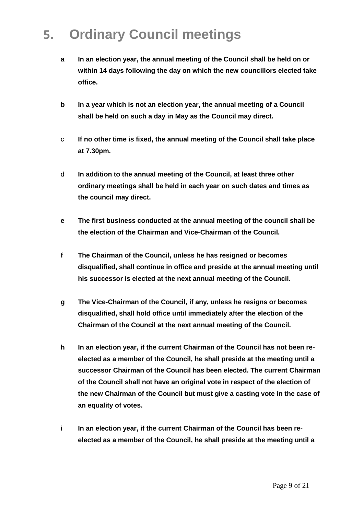## **5. Ordinary Council meetings**

- **a In an election year, the annual meeting of the Council shall be held on or within 14 days following the day on which the new councillors elected take office.**
- **b In a year which is not an election year, the annual meeting of a Council shall be held on such a day in May as the Council may direct.**
- c **If no other time is fixed, the annual meeting of the Council shall take place at 7.30pm.**
- d **In addition to the annual meeting of the Council, at least three other ordinary meetings shall be held in each year on such dates and times as the council may direct.**
- **e The first business conducted at the annual meeting of the council shall be the election of the Chairman and Vice-Chairman of the Council.**
- **f The Chairman of the Council, unless he has resigned or becomes disqualified, shall continue in office and preside at the annual meeting until his successor is elected at the next annual meeting of the Council.**
- **g The Vice-Chairman of the Council, if any, unless he resigns or becomes disqualified, shall hold office until immediately after the election of the Chairman of the Council at the next annual meeting of the Council.**
- **h In an election year, if the current Chairman of the Council has not been reelected as a member of the Council, he shall preside at the meeting until a successor Chairman of the Council has been elected. The current Chairman of the Council shall not have an original vote in respect of the election of the new Chairman of the Council but must give a casting vote in the case of an equality of votes.**
- **i In an election year, if the current Chairman of the Council has been reelected as a member of the Council, he shall preside at the meeting until a**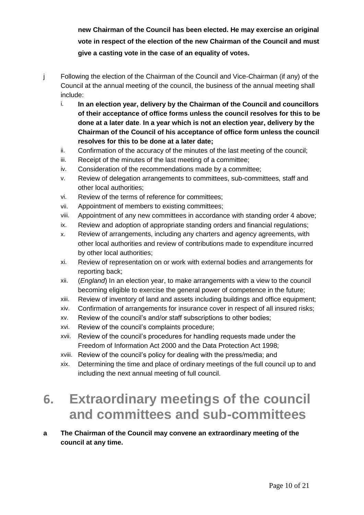**new Chairman of the Council has been elected. He may exercise an original vote in respect of the election of the new Chairman of the Council and must give a casting vote in the case of an equality of votes.**

- j Following the election of the Chairman of the Council and Vice-Chairman (if any) of the Council at the annual meeting of the council, the business of the annual meeting shall include:
	- i. **In an election year, delivery by the Chairman of the Council and councillors of their acceptance of office forms unless the council resolves for this to be done at a later date**. **In a year which is not an election year, delivery by the Chairman of the Council of his acceptance of office form unless the council resolves for this to be done at a later date;**
	- ii. Confirmation of the accuracy of the minutes of the last meeting of the council;
	- iii. Receipt of the minutes of the last meeting of a committee;
	- iv. Consideration of the recommendations made by a committee;
	- v. Review of delegation arrangements to committees, sub-committees, staff and other local authorities;
	- vi. Review of the terms of reference for committees;
	- vii. Appointment of members to existing committees;
	- viii. Appointment of any new committees in accordance with standing order 4 above;
	- ix. Review and adoption of appropriate standing orders and financial regulations;
	- x. Review of arrangements, including any charters and agency agreements, with other local authorities and review of contributions made to expenditure incurred by other local authorities;
	- xi. Review of representation on or work with external bodies and arrangements for reporting back;
	- xii. (*England*) In an election year, to make arrangements with a view to the council becoming eligible to exercise the general power of competence in the future;
	- xiii. Review of inventory of land and assets including buildings and office equipment;
	- xiv. Confirmation of arrangements for insurance cover in respect of all insured risks;
	- xv. Review of the council's and/or staff subscriptions to other bodies;
	- xvi. Review of the council's complaints procedure;
	- xvii. Review of the council's procedures for handling requests made under the Freedom of Information Act 2000 and the Data Protection Act 1998;
	- xviii. Review of the council's policy for dealing with the press/media; and
	- xix. Determining the time and place of ordinary meetings of the full council up to and including the next annual meeting of full council.

## **6. Extraordinary meetings of the council and committees and sub-committees**

**a The Chairman of the Council may convene an extraordinary meeting of the council at any time.**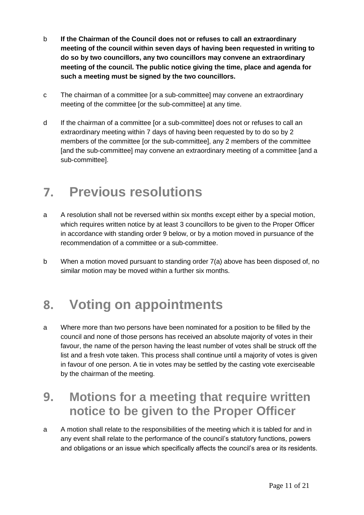- b **If the Chairman of the Council does not or refuses to call an extraordinary meeting of the council within seven days of having been requested in writing to do so by two councillors, any two councillors may convene an extraordinary meeting of the council. The public notice giving the time, place and agenda for such a meeting must be signed by the two councillors.**
- c The chairman of a committee [or a sub-committee] may convene an extraordinary meeting of the committee for the sub-committeel at any time.
- d If the chairman of a committee [or a sub-committee] does not or refuses to call an extraordinary meeting within 7 days of having been requested by to do so by 2 members of the committee [or the sub-committee], any 2 members of the committee [and the sub-committee] may convene an extraordinary meeting of a committee [and a sub-committee].

## **7. Previous resolutions**

- a A resolution shall not be reversed within six months except either by a special motion, which requires written notice by at least 3 councillors to be given to the Proper Officer in accordance with standing order 9 below, or by a motion moved in pursuance of the recommendation of a committee or a sub-committee.
- b When a motion moved pursuant to standing order 7(a) above has been disposed of, no similar motion may be moved within a further six months.

#### **8. Voting on appointments**

a Where more than two persons have been nominated for a position to be filled by the council and none of those persons has received an absolute majority of votes in their favour, the name of the person having the least number of votes shall be struck off the list and a fresh vote taken. This process shall continue until a majority of votes is given in favour of one person. A tie in votes may be settled by the casting vote exerciseable by the chairman of the meeting.

#### **9. Motions for a meeting that require written notice to be given to the Proper Officer**

a A motion shall relate to the responsibilities of the meeting which it is tabled for and in any event shall relate to the performance of the council's statutory functions, powers and obligations or an issue which specifically affects the council's area or its residents.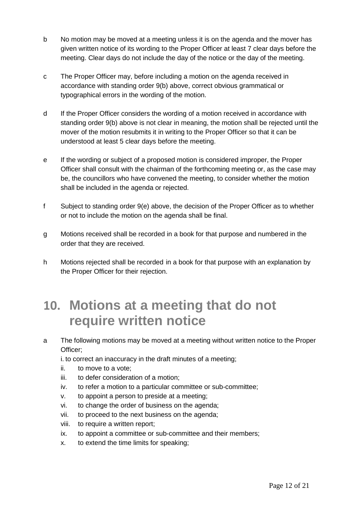- b No motion may be moved at a meeting unless it is on the agenda and the mover has given written notice of its wording to the Proper Officer at least 7 clear days before the meeting. Clear days do not include the day of the notice or the day of the meeting.
- c The Proper Officer may, before including a motion on the agenda received in accordance with standing order 9(b) above, correct obvious grammatical or typographical errors in the wording of the motion.
- d If the Proper Officer considers the wording of a motion received in accordance with standing order 9(b) above is not clear in meaning, the motion shall be rejected until the mover of the motion resubmits it in writing to the Proper Officer so that it can be understood at least 5 clear days before the meeting.
- e If the wording or subject of a proposed motion is considered improper, the Proper Officer shall consult with the chairman of the forthcoming meeting or, as the case may be, the councillors who have convened the meeting, to consider whether the motion shall be included in the agenda or rejected.
- f Subject to standing order 9(e) above, the decision of the Proper Officer as to whether or not to include the motion on the agenda shall be final.
- g Motions received shall be recorded in a book for that purpose and numbered in the order that they are received.
- h Motions rejected shall be recorded in a book for that purpose with an explanation by the Proper Officer for their rejection.

## **10. Motions at a meeting that do not require written notice**

a The following motions may be moved at a meeting without written notice to the Proper Officer;

i. to correct an inaccuracy in the draft minutes of a meeting;

- ii. to move to a vote;
- iii. to defer consideration of a motion;
- iv. to refer a motion to a particular committee or sub-committee;
- v. to appoint a person to preside at a meeting;
- vi. to change the order of business on the agenda;
- vii. to proceed to the next business on the agenda;
- viii. to require a written report;
- ix. to appoint a committee or sub-committee and their members;
- x. to extend the time limits for speaking;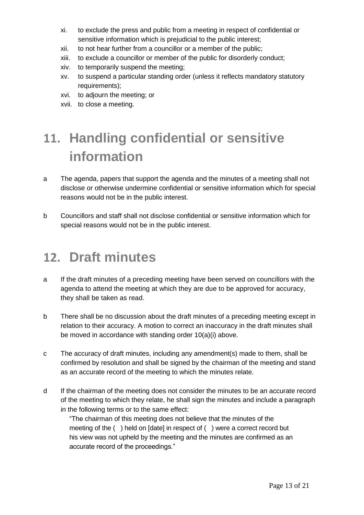- xi. to exclude the press and public from a meeting in respect of confidential or sensitive information which is prejudicial to the public interest;
- xii. to not hear further from a councillor or a member of the public;
- xiii. to exclude a councillor or member of the public for disorderly conduct;
- xiv. to temporarily suspend the meeting;
- xv. to suspend a particular standing order (unless it reflects mandatory statutory requirements);
- xvi. to adjourn the meeting; or
- xvii. to close a meeting.

# **11. Handling confidential or sensitive information**

- a The agenda, papers that support the agenda and the minutes of a meeting shall not disclose or otherwise undermine confidential or sensitive information which for special reasons would not be in the public interest.
- b Councillors and staff shall not disclose confidential or sensitive information which for special reasons would not be in the public interest.

## **12. Draft minutes**

- a If the draft minutes of a preceding meeting have been served on councillors with the agenda to attend the meeting at which they are due to be approved for accuracy, they shall be taken as read.
- b There shall be no discussion about the draft minutes of a preceding meeting except in relation to their accuracy. A motion to correct an inaccuracy in the draft minutes shall be moved in accordance with standing order 10(a)(i) above.
- c The accuracy of draft minutes, including any amendment(s) made to them, shall be confirmed by resolution and shall be signed by the chairman of the meeting and stand as an accurate record of the meeting to which the minutes relate.
- d If the chairman of the meeting does not consider the minutes to be an accurate record of the meeting to which they relate, he shall sign the minutes and include a paragraph in the following terms or to the same effect:

"The chairman of this meeting does not believe that the minutes of the meeting of the ( ) held on [date] in respect of ( ) were a correct record but his view was not upheld by the meeting and the minutes are confirmed as an accurate record of the proceedings."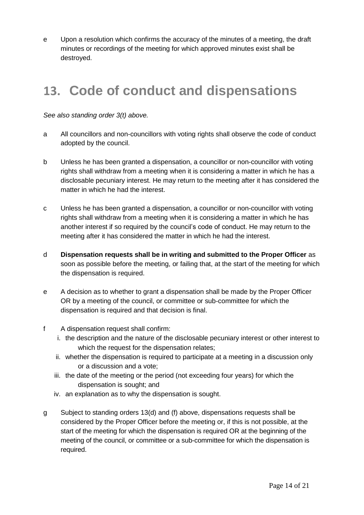e Upon a resolution which confirms the accuracy of the minutes of a meeting, the draft minutes or recordings of the meeting for which approved minutes exist shall be destroyed.

## **13. Code of conduct and dispensations**

*See also standing order 3(t) above.* 

- a All councillors and non-councillors with voting rights shall observe the code of conduct adopted by the council.
- b Unless he has been granted a dispensation, a councillor or non-councillor with voting rights shall withdraw from a meeting when it is considering a matter in which he has a disclosable pecuniary interest. He may return to the meeting after it has considered the matter in which he had the interest.
- c Unless he has been granted a dispensation, a councillor or non-councillor with voting rights shall withdraw from a meeting when it is considering a matter in which he has another interest if so required by the council's code of conduct. He may return to the meeting after it has considered the matter in which he had the interest.
- d **Dispensation requests shall be in writing and submitted to the Proper Officer** as soon as possible before the meeting, or failing that, at the start of the meeting for which the dispensation is required.
- e A decision as to whether to grant a dispensation shall be made by the Proper Officer OR by a meeting of the council, or committee or sub-committee for which the dispensation is required and that decision is final.
- f A dispensation request shall confirm:
	- i. the description and the nature of the disclosable pecuniary interest or other interest to which the request for the dispensation relates;
	- ii. whether the dispensation is required to participate at a meeting in a discussion only or a discussion and a vote;
	- iii. the date of the meeting or the period (not exceeding four years) for which the dispensation is sought; and
	- iv. an explanation as to why the dispensation is sought.
- g Subject to standing orders 13(d) and (f) above, dispensations requests shall be considered by the Proper Officer before the meeting or, if this is not possible, at the start of the meeting for which the dispensation is required OR at the beginning of the meeting of the council, or committee or a sub-committee for which the dispensation is required.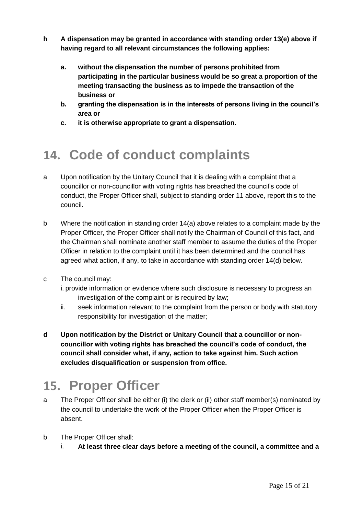- **h A dispensation may be granted in accordance with standing order 13(e) above if having regard to all relevant circumstances the following applies:**
	- **a. without the dispensation the number of persons prohibited from participating in the particular business would be so great a proportion of the meeting transacting the business as to impede the transaction of the business or**
	- **b. granting the dispensation is in the interests of persons living in the council's area or**
	- **c. it is otherwise appropriate to grant a dispensation.**

## **14. Code of conduct complaints**

- a Upon notification by the Unitary Council that it is dealing with a complaint that a councillor or non-councillor with voting rights has breached the council's code of conduct, the Proper Officer shall, subject to standing order 11 above, report this to the council.
- b Where the notification in standing order 14(a) above relates to a complaint made by the Proper Officer, the Proper Officer shall notify the Chairman of Council of this fact, and the Chairman shall nominate another staff member to assume the duties of the Proper Officer in relation to the complaint until it has been determined and the council has agreed what action, if any, to take in accordance with standing order 14(d) below.
- c The council may:
	- i. provide information or evidence where such disclosure is necessary to progress an investigation of the complaint or is required by law;
	- ii. seek information relevant to the complaint from the person or body with statutory responsibility for investigation of the matter;
- **d Upon notification by the District or Unitary Council that a councillor or noncouncillor with voting rights has breached the council's code of conduct, the council shall consider what, if any, action to take against him. Such action excludes disqualification or suspension from office.**

## **15. Proper Officer**

- a The Proper Officer shall be either (i) the clerk or (ii) other staff member(s) nominated by the council to undertake the work of the Proper Officer when the Proper Officer is absent.
- b The Proper Officer shall:
	- i. **At least three clear days before a meeting of the council, a committee and a**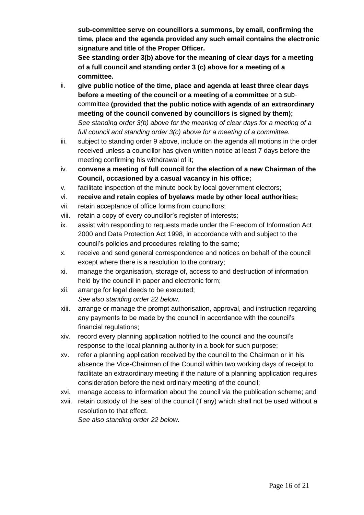**sub-committee serve on councillors a summons, by email, confirming the time, place and the agenda provided any such email contains the electronic signature and title of the Proper Officer.** 

**See standing order 3(b) above for the meaning of clear days for a meeting of a full council and standing order 3 (c) above for a meeting of a committee.**

- ii. **give public notice of the time, place and agenda at least three clear days before a meeting of the council or a meeting of a committee** or a subcommittee **(provided that the public notice with agenda of an extraordinary meeting of the council convened by councillors is signed by them);** *See standing order 3(b) above for the meaning of clear days for a meeting of a full council and standing order 3(c) above for a meeting of a committee.*
- iii. subject to standing order 9 above, include on the agenda all motions in the order received unless a councillor has given written notice at least 7 days before the meeting confirming his withdrawal of it;
- iv. **convene a meeting of full council for the election of a new Chairman of the Council, occasioned by a casual vacancy in his office;**
- v. facilitate inspection of the minute book by local government electors;
- vi. **receive and retain copies of byelaws made by other local authorities;**
- vii. retain acceptance of office forms from councillors;
- viii. retain a copy of every councillor's register of interests;
- ix. assist with responding to requests made under the Freedom of Information Act 2000 and Data Protection Act 1998, in accordance with and subject to the council's policies and procedures relating to the same;
- x. receive and send general correspondence and notices on behalf of the council except where there is a resolution to the contrary;
- xi. manage the organisation, storage of, access to and destruction of information held by the council in paper and electronic form;
- xii. arrange for legal deeds to be executed; *See also standing order 22 below.*
- xiii. arrange or manage the prompt authorisation, approval, and instruction regarding any payments to be made by the council in accordance with the council's financial regulations;
- xiv. record every planning application notified to the council and the council's response to the local planning authority in a book for such purpose;
- xv. refer a planning application received by the council to the Chairman or in his absence the Vice-Chairman of the Council within two working days of receipt to facilitate an extraordinary meeting if the nature of a planning application requires consideration before the next ordinary meeting of the council;
- xvi. manage access to information about the council via the publication scheme; and
- xvii. retain custody of the seal of the council (if any) which shall not be used without a resolution to that effect. *See also standing order 22 below.*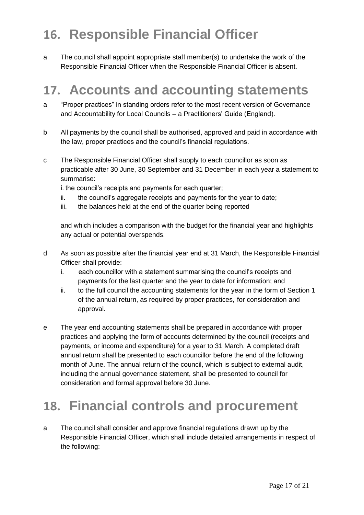# **16. Responsible Financial Officer**

a The council shall appoint appropriate staff member(s) to undertake the work of the Responsible Financial Officer when the Responsible Financial Officer is absent.

## **17. Accounts and accounting statements**

- a "Proper practices" in standing orders refer to the most recent version of Governance and Accountability for Local Councils – a Practitioners' Guide (England).
- b All payments by the council shall be authorised, approved and paid in accordance with the law, proper practices and the council's financial regulations.
- c The Responsible Financial Officer shall supply to each councillor as soon as practicable after 30 June, 30 September and 31 December in each year a statement to summarise:

i. the council's receipts and payments for each quarter;

- ii. the council's aggregate receipts and payments for the year to date;
- iii. the balances held at the end of the quarter being reported

and which includes a comparison with the budget for the financial year and highlights any actual or potential overspends.

- d As soon as possible after the financial year end at 31 March, the Responsible Financial Officer shall provide:
	- i. each councillor with a statement summarising the council's receipts and payments for the last quarter and the year to date for information; and
	- ii. to the full council the accounting statements for the year in the form of Section 1 of the annual return, as required by proper practices, for consideration and approval.
- e The year end accounting statements shall be prepared in accordance with proper practices and applying the form of accounts determined by the council (receipts and payments, or income and expenditure) for a year to 31 March. A completed draft annual return shall be presented to each councillor before the end of the following month of June. The annual return of the council, which is subject to external audit, including the annual governance statement, shall be presented to council for consideration and formal approval before 30 June.

## **18. Financial controls and procurement**

a The council shall consider and approve financial regulations drawn up by the Responsible Financial Officer, which shall include detailed arrangements in respect of the following: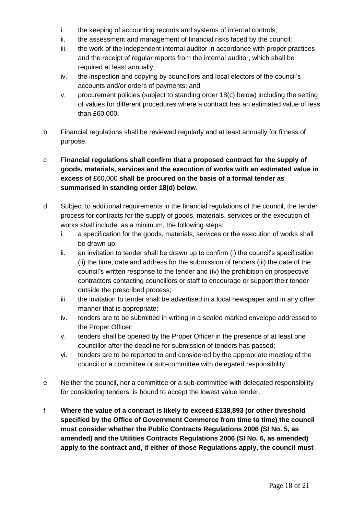- i. the keeping of accounting records and systems of internal controls;
- ii. the assessment and management of financial risks faced by the council;
- iii. the work of the independent internal auditor in accordance with proper practices and the receipt of regular reports from the internal auditor, which shall be required at least annually;
- iv. the inspection and copying by councillors and local electors of the council's accounts and/or orders of payments; and
- v. procurement policies (subject to standing order 18(c) below) including the setting of values for different procedures where a contract has an estimated value of less than £60,000.
- b Financial regulations shall be reviewed regularly and at least annually for fitness of purpose.

#### c **Financial regulations shall confirm that a proposed contract for the supply of goods, materials, services and the execution of works with an estimated value in excess of** £60,000 **shall be procured on the basis of a formal tender as summarised in standing order 18(d) below.**

- d Subject to additional requirements in the financial regulations of the council, the tender process for contracts for the supply of goods, materials, services or the execution of works shall include, as a minimum, the following steps:
	- i. a specification for the goods, materials, services or the execution of works shall be drawn up;
	- ii. an invitation to tender shall be drawn up to confirm (i) the council's specification (ii) the time, date and address for the submission of tenders (iii) the date of the council's written response to the tender and (iv) the prohibition on prospective contractors contacting councillors or staff to encourage or support their tender outside the prescribed process;
	- iii. the invitation to tender shall be advertised in a local newspaper and in any other manner that is appropriate;
	- iv. tenders are to be submitted in writing in a sealed marked envelope addressed to the Proper Officer;
	- v. tenders shall be opened by the Proper Officer in the presence of at least one councillor after the deadline for submission of tenders has passed;
	- vi. tenders are to be reported to and considered by the appropriate meeting of the council or a committee or sub-committee with delegated responsibility.
- e Neither the council, nor a committee or a sub-committee with delegated responsibility for considering tenders, is bound to accept the lowest value tender.
- f **Where the value of a contract is likely to exceed £138,893 (or other threshold specified by the Office of Government Commerce from time to time) the council must consider whether the Public Contracts Regulations 2006 (SI No. 5, as amended) and the Utilities Contracts Regulations 2006 (SI No. 6, as amended) apply to the contract and, if either of those Regulations apply, the council must**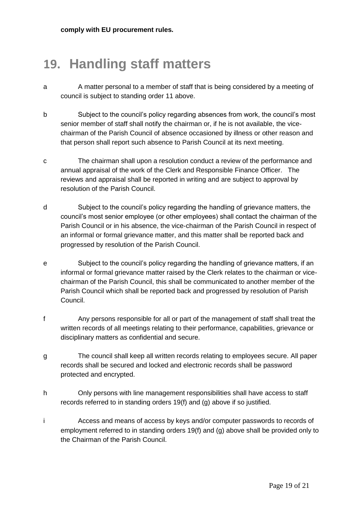**comply with EU procurement rules.**

## **19. Handling staff matters**

- a A matter personal to a member of staff that is being considered by a meeting of council is subject to standing order 11 above.
- b Subject to the council's policy regarding absences from work, the council's most senior member of staff shall notify the chairman or, if he is not available, the vicechairman of the Parish Council of absence occasioned by illness or other reason and that person shall report such absence to Parish Council at its next meeting.
- c The chairman shall upon a resolution conduct a review of the performance and annual appraisal of the work of the Clerk and Responsible Finance Officer. The reviews and appraisal shall be reported in writing and are subject to approval by resolution of the Parish Council.
- d Subject to the council's policy regarding the handling of grievance matters, the council's most senior employee (or other employees) shall contact the chairman of the Parish Council or in his absence, the vice-chairman of the Parish Council in respect of an informal or formal grievance matter, and this matter shall be reported back and progressed by resolution of the Parish Council.
- e Subject to the council's policy regarding the handling of grievance matters, if an informal or formal grievance matter raised by the Clerk relates to the chairman or vicechairman of the Parish Council, this shall be communicated to another member of the Parish Council which shall be reported back and progressed by resolution of Parish Council.
- f Any persons responsible for all or part of the management of staff shall treat the written records of all meetings relating to their performance, capabilities, grievance or disciplinary matters as confidential and secure.
- g The council shall keep all written records relating to employees secure. All paper records shall be secured and locked and electronic records shall be password protected and encrypted.
- h Only persons with line management responsibilities shall have access to staff records referred to in standing orders 19(f) and (g) above if so justified.
- i Access and means of access by keys and/or computer passwords to records of employment referred to in standing orders 19(f) and (g) above shall be provided only to the Chairman of the Parish Council.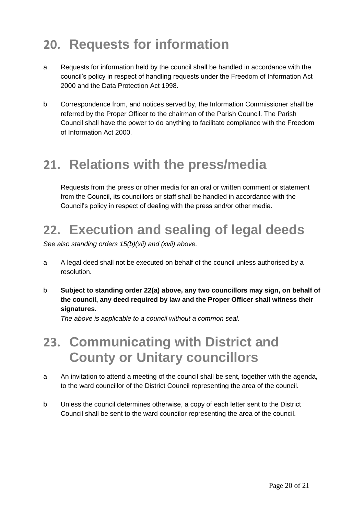# **20. Requests for information**

- a Requests for information held by the council shall be handled in accordance with the council's policy in respect of handling requests under the Freedom of Information Act 2000 and the Data Protection Act 1998.
- b Correspondence from, and notices served by, the Information Commissioner shall be referred by the Proper Officer to the chairman of the Parish Council. The Parish Council shall have the power to do anything to facilitate compliance with the Freedom of Information Act 2000.

#### **21. Relations with the press/media**

Requests from the press or other media for an oral or written comment or statement from the Council, its councillors or staff shall be handled in accordance with the Council's policy in respect of dealing with the press and/or other media.

## **22. Execution and sealing of legal deeds**

*See also standing orders 15(b)(xii) and (xvii) above.*

- a A legal deed shall not be executed on behalf of the council unless authorised by a resolution.
- b **Subject to standing order 22(a) above, any two councillors may sign, on behalf of the council, any deed required by law and the Proper Officer shall witness their signatures.**

*The above is applicable to a council without a common seal.*

#### **23. Communicating with District and County or Unitary councillors**

- a An invitation to attend a meeting of the council shall be sent, together with the agenda, to the ward councillor of the District Council representing the area of the council.
- b Unless the council determines otherwise, a copy of each letter sent to the District Council shall be sent to the ward councilor representing the area of the council.